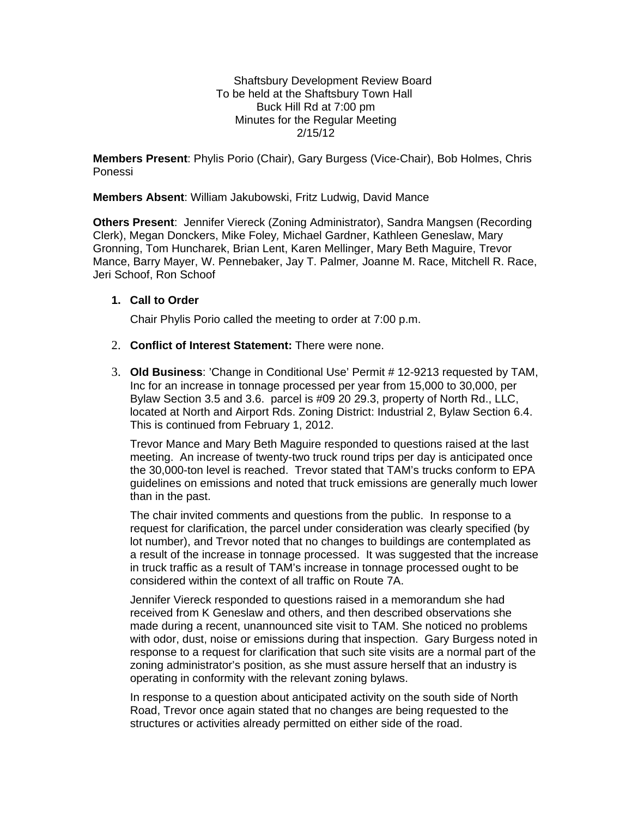Shaftsbury Development Review Board To be held at the Shaftsbury Town Hall Buck Hill Rd at 7:00 pm Minutes for the Regular Meeting 2/15/12

**Members Present**: Phylis Porio (Chair), Gary Burgess (Vice-Chair), Bob Holmes, Chris Ponessi

**Members Absent**: William Jakubowski, Fritz Ludwig, David Mance

**Others Present**: Jennifer Viereck (Zoning Administrator), Sandra Mangsen (Recording Clerk), Megan Donckers, Mike Foley*,* Michael Gardner, Kathleen Geneslaw, Mary Gronning, Tom Huncharek, Brian Lent, Karen Mellinger, Mary Beth Maguire, Trevor Mance, Barry Mayer, W. Pennebaker, Jay T. Palmer*,* Joanne M. Race, Mitchell R. Race, Jeri Schoof, Ron Schoof

### **1. Call to Order**

Chair Phylis Porio called the meeting to order at 7:00 p.m.

- 2. **Conflict of Interest Statement:** There were none.
- 3. **Old Business**: 'Change in Conditional Use' Permit # 12-9213 requested by TAM, Inc for an increase in tonnage processed per year from 15,000 to 30,000, per Bylaw Section 3.5 and 3.6. parcel is #09 20 29.3, property of North Rd., LLC, located at North and Airport Rds. Zoning District: Industrial 2, Bylaw Section 6.4. This is continued from February 1, 2012.

Trevor Mance and Mary Beth Maguire responded to questions raised at the last meeting. An increase of twenty-two truck round trips per day is anticipated once the 30,000-ton level is reached. Trevor stated that TAM's trucks conform to EPA guidelines on emissions and noted that truck emissions are generally much lower than in the past.

The chair invited comments and questions from the public. In response to a request for clarification, the parcel under consideration was clearly specified (by lot number), and Trevor noted that no changes to buildings are contemplated as a result of the increase in tonnage processed. It was suggested that the increase in truck traffic as a result of TAM's increase in tonnage processed ought to be considered within the context of all traffic on Route 7A.

Jennifer Viereck responded to questions raised in a memorandum she had received from K Geneslaw and others, and then described observations she made during a recent, unannounced site visit to TAM. She noticed no problems with odor, dust, noise or emissions during that inspection. Gary Burgess noted in response to a request for clarification that such site visits are a normal part of the zoning administrator's position, as she must assure herself that an industry is operating in conformity with the relevant zoning bylaws.

In response to a question about anticipated activity on the south side of North Road, Trevor once again stated that no changes are being requested to the structures or activities already permitted on either side of the road.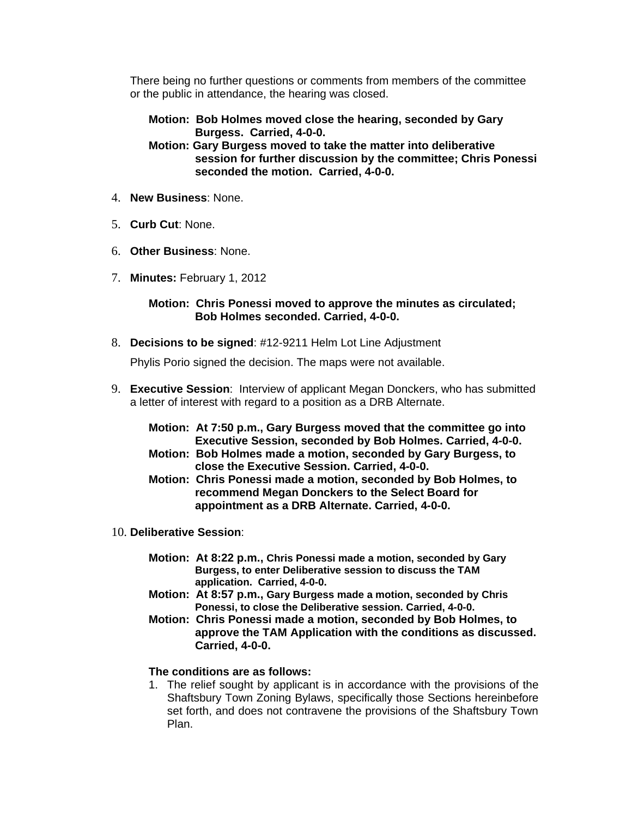There being no further questions or comments from members of the committee or the public in attendance, the hearing was closed.

**Motion: Bob Holmes moved close the hearing, seconded by Gary Burgess. Carried, 4-0-0.** 

**Motion: Gary Burgess moved to take the matter into deliberative session for further discussion by the committee; Chris Ponessi seconded the motion. Carried, 4-0-0.**

- 4. **New Business**: None.
- 5. **Curb Cut**: None.
- 6. **Other Business**: None.
- 7. **Minutes:** February 1, 2012

### **Motion: Chris Ponessi moved to approve the minutes as circulated; Bob Holmes seconded. Carried, 4-0-0.**

8. **Decisions to be signed**: #12-9211 Helm Lot Line Adjustment

Phylis Porio signed the decision. The maps were not available.

9. **Executive Session**: Interview of applicant Megan Donckers, who has submitted a letter of interest with regard to a position as a DRB Alternate.

| Motion: At 7:50 p.m., Gary Burgess moved that the committee go into |
|---------------------------------------------------------------------|
| Executive Session, seconded by Bob Holmes. Carried, 4-0-0.          |
| Motion: Bob Holmes made a motion, seconded by Gary Burgess, to      |

- **close the Executive Session. Carried, 4-0-0. Motion: Chris Ponessi made a motion, seconded by Bob Holmes, to recommend Megan Donckers to the Select Board for appointment as a DRB Alternate. Carried, 4-0-0.**
- 10. **Deliberative Session**:
	- **Motion: At 8:22 p.m., Chris Ponessi made a motion, seconded by Gary Burgess, to enter Deliberative session to discuss the TAM application. Carried, 4-0-0.**
	- **Motion: At 8:57 p.m., Gary Burgess made a motion, seconded by Chris Ponessi, to close the Deliberative session. Carried, 4-0-0.**
	- **Motion: Chris Ponessi made a motion, seconded by Bob Holmes, to approve the TAM Application with the conditions as discussed. Carried, 4-0-0.**

# **The conditions are as follows:**

1. The relief sought by applicant is in accordance with the provisions of the Shaftsbury Town Zoning Bylaws, specifically those Sections hereinbefore set forth, and does not contravene the provisions of the Shaftsbury Town Plan.